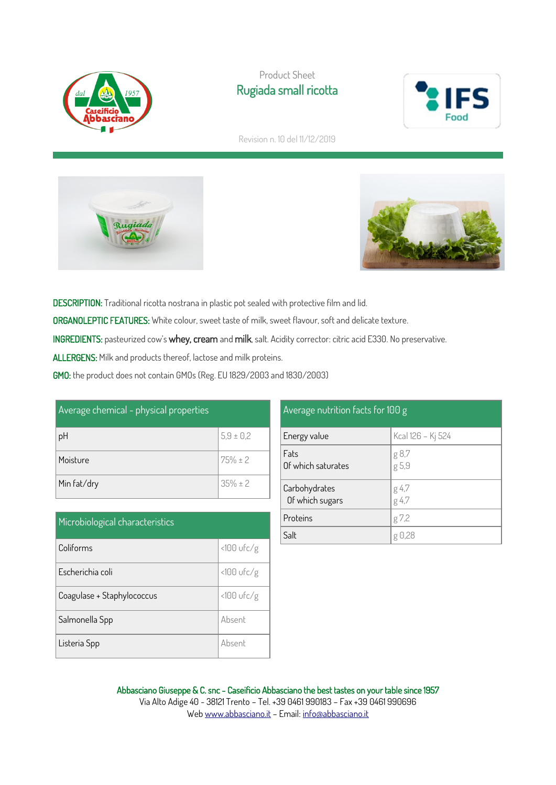

# Product Sheet Rugiada small ricotta



Revision n. 10 del 11/12/2019





DESCRIPTION: Traditional ricotta nostrana in plastic pot sealed with protective film and lid. ORGANOLEPTIC FEATURES: White colour, sweet taste of milk, sweet flavour, soft and delicate texture. INGREDIENTS: pasteurized cow's whey, cream and milk, salt. Acidity corrector: citric acid E330. No preservative. ALLERGENS: Milk and products thereof, lactose and milk proteins.

GMO: the product does not contain GMOs (Reg. EU 1829/2003 and 1830/2003)

| Average chemical - physical properties |               |
|----------------------------------------|---------------|
| pH                                     | $5.9 \pm 0.2$ |
| Moisture                               | $75% \pm 2$   |
| Min fat/dry                            | $35% \pm 2$   |

| Microbiological characteristics |              |  |
|---------------------------------|--------------|--|
| Coliforms                       | $<100$ ufc/g |  |
| Escherichia coli                | $<100$ ufc/g |  |
| Coagulase + Staphylococcus      | <100 ufc/g   |  |
| Salmonella Spp                  | Absent       |  |
| Listeria Spp                    | Absent       |  |

#### Average nutrition facts for 100 g Energy value  $\begin{matrix} \text{Kcal } 126 - Kj \end{matrix}$  524 Fats Of which saturates g 8,7 g 5,9 Carbohydrates Of which sugars g 4,7 g 4,7 **Proteins**  $g 7,2$ Salt  $g \theta$ ,28

Abbasciano Giuseppe & C. snc - Caseificio Abbasciano the best tastes on your table since 1957 Via Alto Adige 40 - 38121 Trento – Tel. +39 0461 990183 – Fax +39 0461 990696 We[b www.abbasciano.it](http://www.abbasciano.it/) – Email[: info@abbasciano.it](mailto:info@abbasciano.it)